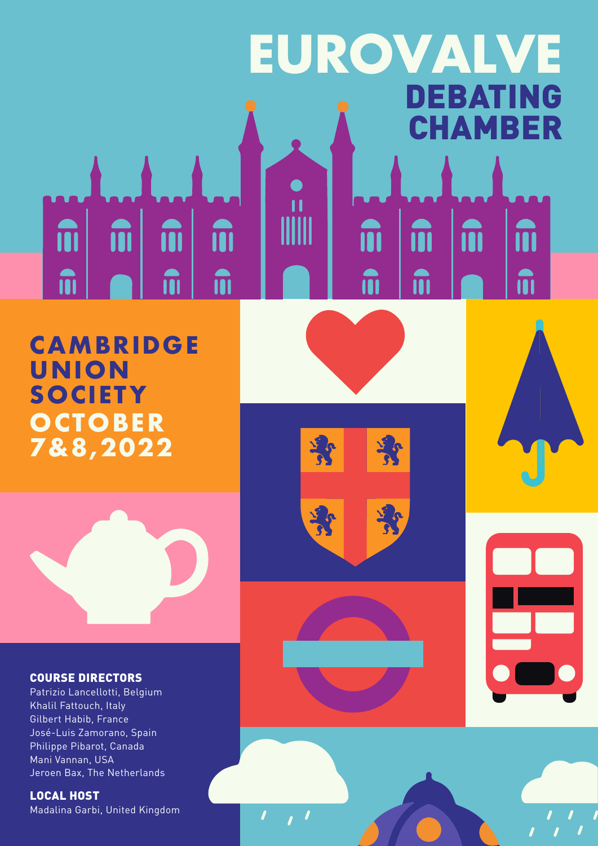#### **EUROVALVE**DEBATING CHAMBER ii m m m m m m m î **n** m m

**CAMBRIDGE UN ION SOCIETY OCTOBER 7&8,2022**



#### COURSE DIRECTORS

Patrizio Lancellotti, Belgium Khalil Fattouch, Italy Gilbert Habib, France José-Luis Zamorano, Spain Philippe Pibarot, Canada Mani Vannan, USA Jeroen Bax, The Netherlands

LOCAL HOST Madalina Garbi, United Kingdom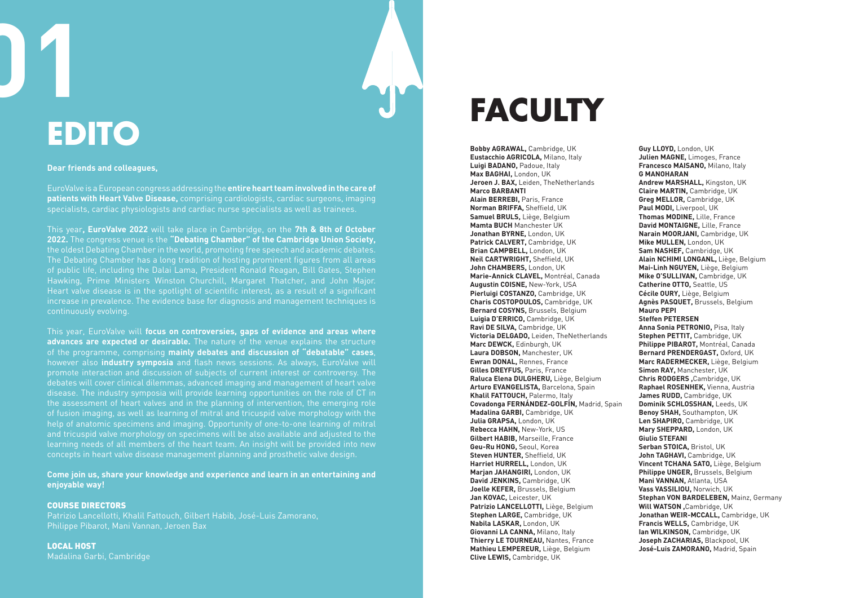#### **Dear friends and colleagues,**

EuroValve is a European congress addressing the **entire heart team involved in the care of patients with Heart Valve Disease,** comprising cardiologists, cardiac surgeons, imaging specialists, cardiac physiologists and cardiac nurse specialists as well as trainees.

This year**, EuroValve 2022** will take place in Cambridge, on the **7th & 8th of October 2022.** The congress venue is the **"Debating Chamber" of the Cambridge Union Society,** the oldest Debating Chamber in the world, promoting free speech and academic debates. The Debating Chamber has a long tradition of hosting prominent figures from all areas of public life, including the Dalai Lama, President Ronald Reagan, Bill Gates, Stephen Hawking, Prime Ministers Winston Churchill, Margaret Thatcher, and John Major. Heart valve disease is in the spotlight of scientific interest, as a result of a significant increase in prevalence. The evidence base for diagnosis and management techniques is continuously evolving.

This year, EuroValve will **focus on controversies, gaps of evidence and areas where advances are expected or desirable.** The nature of the venue explains the structure of the programme, comprising **mainly debates and discussion of "debatable" cases**, however also **industry symposia** and flash news sessions. As always, EuroValve will promote interaction and discussion of subjects of current interest or controversy. The debates will cover clinical dilemmas, advanced imaging and management of heart valve disease. The industry symposia will provide learning opportunities on the role of CT in the assessment of heart valves and in the planning of intervention, the emerging role of fusion imaging, as well as learning of mitral and tricuspid valve morphology with the help of anatomic specimens and imaging. Opportunity of one-to-one learning of mitral and tricuspid valve morphology on specimens will be also available and adjusted to the learning needs of all members of the heart team. An insight will be provided into new concepts in heart valve disease management planning and prosthetic valve design.

**Come join us, share your knowledge and experience and learn in an entertaining and enjoyable way!**

#### COURSE DIRECTORS

Patrizio Lancellotti, Khalil Fattouch, Gilbert Habib, José-Luis Zamorano, Philippe Pibarot, Mani Vannan, Jeroen Bax

LOCAL HOST Madalina Garbi, Cambridge

### **FACULTY**

**Bobby AGRAWAL,** Cambridge, UK **Eustacchio AGRICOLA,** Milano, Italy **Luigi BADANO,** Padoue, Italy **Max BAGHAI,** London, UK **Jeroen J. BAX,** Leiden, TheNetherlands **Marco BARBANTI Alain BERREBI,** Paris, France **Norman BRIFFA,** Sheffield, UK **Samuel BRULS,** Liège, Belgium **Mamta BUCH** Manchester UK **Jonathan BYRNE,** London, UK **Patrick CALVERT,** Cambridge, UK **Brian CAMPBELL,** London, UK **Neil CARTWRIGHT,** Sheffield, UK **John CHAMBERS,** London, UK **Marie-Annick CLAVEL,** Montréal, Canada **Augustin COISNE,** New-York, USA **Pierluigi COSTANZO,** Cambridge, UK **Charis COSTOPOULOS,** Cambridge, UK **Bernard COSYNS,** Brussels, Belgium **Luigia D'ERRICO,** Cambridge, UK **Ravi DE SILVA,** Cambridge, UK **Victoria DELGADO,** Leiden, TheNetherlands **Marc DEWCK,** Edinburgh, UK **Laura DOBSON,** Manchester, UK **Ewran DONAL,** Rennes, France **Gilles DREYFUS,** Paris, France **Raluca Elena DULGHERU,** Liège, Belgium **Arturo EVANGELISTA,** Barcelona, Spain **Khalil FATTOUCH,** Palermo, Italy **Covadonga FERNÁNDEZ-GOLFÍN,** Madrid, Spain **Madalina GARBI,** Cambridge, UK **Julia GRAPSA,** London, UK **Rebecca HAHN,** New-York, US **Gilbert HABIB,** Marseille, France **Geu-Ru HONG,** Seoul, Korea **Steven HUNTER,** Sheffield, UK **Harriet HURRELL,** London, UK **Marjan JAHANGIRI,** London, UK **David JENKINS,** Cambridge, UK **Joelle KEFER,** Brussels, Belgium **Jan KOVAC,** Leicester, UK **Patrizio LANCELLOTTI,** Liège, Belgium **Stephen LARGE,** Cambridge, UK **Nabila LASKAR,** London, UK **Giovanni LA CANNA,** Milano, Italy **Thierry LE TOURNEAU,** Nantes, France **Mathieu LEMPEREUR,** Liège, Belgium **Clive LEWIS,** Cambridge, UK

**Guy LLOYD,** London, UK **Julien MAGNE,** Limoges, France **Francesco MAISANO,** Milano, Italy **G MANOHARAN Andrew MARSHALL,** Kingston, UK **Claire MARTIN,** Cambridge, UK **Greg MELLOR,** Cambridge, UK **Paul MODI,** Liverpool, UK **Thomas MODINE,** Lille, France **David MONTAIGNE,** Lille, France **Narain MOORJANI,** Cambridge, UK **Mike MULLEN,** London, UK **Sam NASHEF,** Cambridge, UK **Alain NCHIMI LONGANL,** Liège, Belgium **Mai-Linh NGUYEN,** Liège, Belgium **Mike O'SULLIVAN,** Cambridge, UK **Catherine OTTO,** Seattle, US **Cécile OURY,** Liège, Belgium **Agnès PASQUET,** Brussels, Belgium **Mauro PEPI Steffen PETERSEN Anna Sonia PETRONIO,** Pisa, Italy **Stephen PETTIT,** Cambridge, UK **Philippe PIBAROT,** Montréal, Canada **Bernard PRENDERGAST,** Oxford, UK **Marc RADERMECKER,** Liège, Belgium **Simon RAY,** Manchester, UK **Chris RODGERS ,**Cambridge, UK **Raphael ROSENHEK,** Vienna, Austria **James RUDD,** Cambridge, UK **Dominik SCHLOSSHAN,** Leeds, UK **Benoy SHAH,** Southampton, UK **Len SHAPIRO,** Cambridge, UK **Mary SHEPPARD,** London, UK **Giulio STEFANI Serban STOICA,** Bristol, UK **John TAGHAVI,** Cambridge, UK **Vincent TCHANA SATO,** Liège, Belgium **Philippe UNGER,** Brussels, Belgium **Mani VANNAN,** Atlanta, USA **Vass VASSILIOU,** Norwich, UK **Stephan VON BARDELEBEN,** Mainz, Germany **Will WATSON ,**Cambridge, UK **Jonathan WEIR-MCCALL,** Cambridge, UK **Francis WELLS,** Cambridge, UK **Ian WILKINSON,** Cambridge, UK **Joseph ZACHARIAS,** Blackpool, UK **José-Luis ZAMORANO,** Madrid, Spain

**01**

# **EDITO**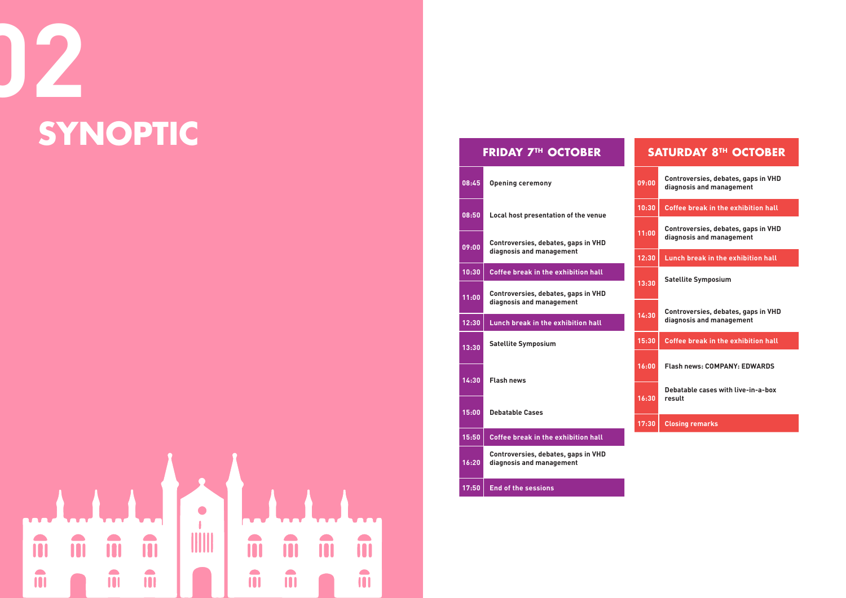**11:00**

# **02 SYNOPTIC**

 $\overline{\phantom{a}}$ **TITULE** ii m m m m m m m  $\hat{\mathbf{u}}$ m m  $\hat{\mathbf{u}}$ m  $\hat{\mathbf{u}}$ 

#### **FRIDAY 7TH OCTOBER**

| 08:45 | <b>Opening ceremony</b>                                                |
|-------|------------------------------------------------------------------------|
| 08:50 | Local host presentation of the venue                                   |
| 09:00 | Controversies, debates, gaps in VHD<br>diagnosis and management        |
| 10:30 | <b>Coffee break in the exhibition hall</b>                             |
| 11:00 | <b>Controversies, debates, gaps in VHD</b><br>diagnosis and management |
| 12:30 | Lunch break in the exhibition hall                                     |
| 13:30 | <b>Satellite Symposium</b>                                             |
| 14:30 | <b>Flash news</b>                                                      |
| 15:00 | <b>Debatable Cases</b>                                                 |
|       |                                                                        |
| 15:50 | <b>Coffee break in the exhibition hall</b>                             |
| 16:20 | Controversies, debates, gaps in VHD<br>diagnosis and management        |

|       | <b>SATURDAY 8TH OCTOBER</b>                                            |
|-------|------------------------------------------------------------------------|
| 09:00 | Controversies, debates, gaps in VHD<br>diagnosis and management        |
| 10:30 | <b>Coffee break in the exhibition hall</b>                             |
| 11:00 | <b>Controversies, debates, gaps in VHD</b><br>diagnosis and management |
| 12:30 | <b>Lunch break in the exhibition hall</b>                              |
| 13:30 | <b>Satellite Symposium</b>                                             |
| 14:30 | <b>Controversies, debates, gaps in VHD</b><br>diagnosis and management |
| 15:30 | <b>Coffee break in the exhibition hall</b>                             |
| 16:00 | <b>Flash news: COMPANY: EDWARDS</b>                                    |
| 16:30 | Debatable cases with live-in-a-box<br>result                           |
| 17:30 | <b>Closing remarks</b>                                                 |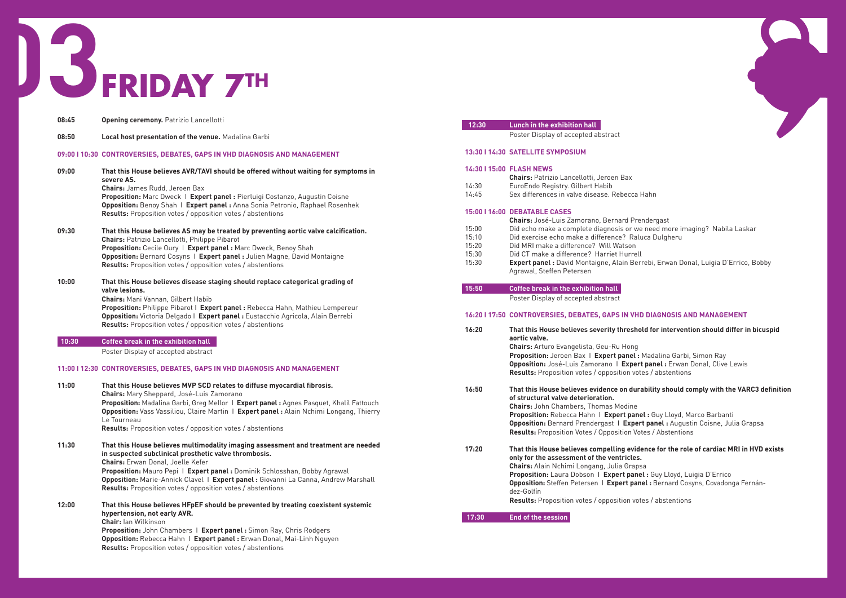**Proposition:** Jeroen Bax I **Expert panel :** Madalina Garbi, Simon Ray **onel :** Erwan Donal, Clive Lewis  $^{\prime}$  abstentions

#### lity should comply with the VARC3 definition

**Guy Lloyd, Luigia D'Errico Opposition:** Steffen Petersen I **Expert panel :** Bernard Cosyns, Covadonga Fernán-

 $^\prime$  abstentions

# **FRIDAY 7TH 03**

| 08:45 | <b>Opening ceremony.</b> Patrizio Lancellotti                                                                                                      | 12:30 | Lunch in the exhibition hall                                                                   |
|-------|----------------------------------------------------------------------------------------------------------------------------------------------------|-------|------------------------------------------------------------------------------------------------|
| 08:50 | Local host presentation of the venue. Madalina Garbi                                                                                               |       | Poster Display of accepted abstract                                                            |
|       | 09:00   10:30 CONTROVERSIES, DEBATES, GAPS IN VHD DIAGNOSIS AND MANAGEMENT                                                                         |       | 13:30   14:30 SATELLITE SYMPOSIUM                                                              |
| 09:00 | That this House believes AVR/TAVI should be offered without waiting for symptoms in<br>severe AS.                                                  |       | 14:30   15:00 FLASH NEWS<br><b>Chairs: Patrizio Lancellotti, Jeroen Bax</b>                    |
|       | <b>Chairs: James Rudd, Jeroen Bax</b>                                                                                                              | 14:30 | EuroEndo Registry. Gilbert Habib                                                               |
|       | Proposition: Marc Dweck   Expert panel : Pierluigi Costanzo, Augustin Coisne                                                                       | 14:45 | Sex differences in valve disease. Rebecca Hahn                                                 |
|       | Opposition: Benoy Shah   Expert panel: Anna Sonia Petronio, Raphael Rosenhek<br><b>Results:</b> Proposition votes / opposition votes / abstentions |       | 15:00   16:00 DEBATABLE CASES<br><b>Chairs:</b> José-Luis Zamorano, Bernard Prender            |
| 09:30 | That this House believes AS may be treated by preventing aortic valve calcification.                                                               | 15:00 | Did echo make a complete diagnosis or we nee                                                   |
|       | <b>Chairs:</b> Patrizio Lancellotti, Philippe Pibarot                                                                                              | 15:10 | Did exercise echo make a difference? Raluca D                                                  |
|       | Proposition: Cecile Oury   Expert panel : Marc Dweck, Benoy Shah                                                                                   | 15:20 | Did MRI make a difference? Will Watson                                                         |
|       | Opposition: Bernard Cosyns   Expert panel : Julien Magne, David Montaigne                                                                          | 15:30 | Did CT make a difference? Harriet Hurrell                                                      |
|       | <b>Results:</b> Proposition votes / opposition votes / abstentions                                                                                 | 15:30 | Expert panel : David Montaigne, Alain Berrebi,<br>Agrawal, Steffen Petersen                    |
| 10:00 | That this House believes disease staging should replace categorical grading of                                                                     |       |                                                                                                |
|       | valve lesions.                                                                                                                                     | 15:50 | <b>Coffee break in the exhibition hall</b>                                                     |
|       | <b>Chairs: Mani Vannan, Gilbert Habib</b>                                                                                                          |       | Poster Display of accepted abstract                                                            |
|       | Proposition: Philippe Pibarot   Expert panel : Rebecca Hahn, Mathieu Lempereur                                                                     |       |                                                                                                |
|       | Opposition: Victoria Delgado   Expert panel : Eustacchio Agricola, Alain Berrebi                                                                   |       | 16:20   17:50 CONTROVERSIES, DEBATES, GAPS IN VHD DIA                                          |
|       | <b>Results:</b> Proposition votes / opposition votes / abstentions                                                                                 | 16:20 | That this House believes severity threshold fo                                                 |
| 10:30 | <b>Coffee break in the exhibition hall</b>                                                                                                         |       | aortic valve.                                                                                  |
|       |                                                                                                                                                    |       | Chairs: Arturo Evangelista, Geu-Ru Hong                                                        |
|       | Poster Display of accepted abstract                                                                                                                |       | Proposition: Jeroen Bax   Expert panel : Mada                                                  |
|       | 11:00   12:30 CONTROVERSIES, DEBATES, GAPS IN VHD DIAGNOSIS AND MANAGEMENT                                                                         |       | Opposition: José-Luis Zamorano   Expert pan<br>Results: Proposition votes / opposition votes / |
| 11:00 | That this House believes MVP SCD relates to diffuse myocardial fibrosis.                                                                           |       |                                                                                                |
|       | Chairs: Mary Sheppard, José-Luis Zamorano                                                                                                          | 16:50 | That this House believes evidence on durabilit                                                 |
|       | Proposition: Madalina Garbi, Greg Mellor   Expert panel : Agnes Pasquet, Khalil Fattouch                                                           |       | of structural valve deterioration.                                                             |
|       | Opposition: Vass Vassiliou, Claire Martin   Expert panel : Alain Nchimi Longang, Thierry                                                           |       | <b>Chairs:</b> John Chambers, Thomas Modine                                                    |
|       | Le Tourneau                                                                                                                                        |       | Proposition: Rebecca Hahn   Expert panel : G                                                   |
|       | <b>Results:</b> Proposition votes / opposition votes / abstentions                                                                                 |       | Opposition: Bernard Prendergast   Expert par                                                   |
|       |                                                                                                                                                    |       | <b>Results:</b> Proposition Votes / Opposition Votes /                                         |
| 11:30 | That this House believes multimodality imaging assessment and treatment are needed                                                                 |       |                                                                                                |
|       | in suspected subclinical prosthetic valve thrombosis.                                                                                              | 17:20 | That this House believes compelling evidence                                                   |
|       | <b>Chairs:</b> Erwan Donal, Joelle Kefer                                                                                                           |       | only for the assessment of the ventricles.                                                     |
|       | Proposition: Mauro Pepi   Expert panel : Dominik Schlosshan, Bobby Agrawal                                                                         |       | <b>Chairs:</b> Alain Nchimi Longang, Julia Grapsa                                              |
|       | Opposition: Marie-Annick Clavel   Expert panel : Giovanni La Canna, Andrew Marshall                                                                |       | Proposition: Laura Dobson   Expert panel : G                                                   |
|       | <b>Results:</b> Proposition votes / opposition votes / abstentions                                                                                 |       | Opposition: Steffen Petersen   Expert panel : E<br>dez-Golfín                                  |
|       |                                                                                                                                                    |       | Results: Proposition votes / opposition votes /                                                |
| 12:00 | That this House believes HFpEF should be prevented by treating coexistent systemic                                                                 |       |                                                                                                |
|       | hypertension, not early AVR.                                                                                                                       | 17:30 | <b>End of the session</b>                                                                      |
|       | <b>Chair:</b> lan Wilkinson                                                                                                                        |       |                                                                                                |
|       | Proposition: John Chambers   Expert panel: Simon Ray, Chris Rodgers                                                                                |       |                                                                                                |
|       | Opposition: Rebecca Hahn   Expert panel : Erwan Donal, Mai-Linh Nguyen                                                                             |       |                                                                                                |
|       | <b>Results:</b> Proposition votes / opposition votes / abstentions                                                                                 |       |                                                                                                |



**Chairs:** José-Luis Zamorano, Bernard Prendergast 15:00Did echo make a complete diagnosis or we need more imaging? Nabila Laskar 15:10Did exercise echo make a difference? Raluca Dulgheru

15:30 **Expert panel :** David Montaigne, Alain Berrebi, Erwan Donal, Luigia D'Errico, Bobby

#### **IAGNOSIS AND MANAGEMENT**

#### **16:20 That this House believes severity threshold for intervention should differ in bicuspid**

**Proposition:** Rebecca Hahn I **Expert panel :** Guy Lloyd, Marco Barbanti **anel :** Augustin Coisne, Julia Grapsa **Results:** Proposition Votes / Opposition Votes / Abstentions

#### **17:20 That this House believes compelling evidence for the role of cardiac MRI in HVD exists**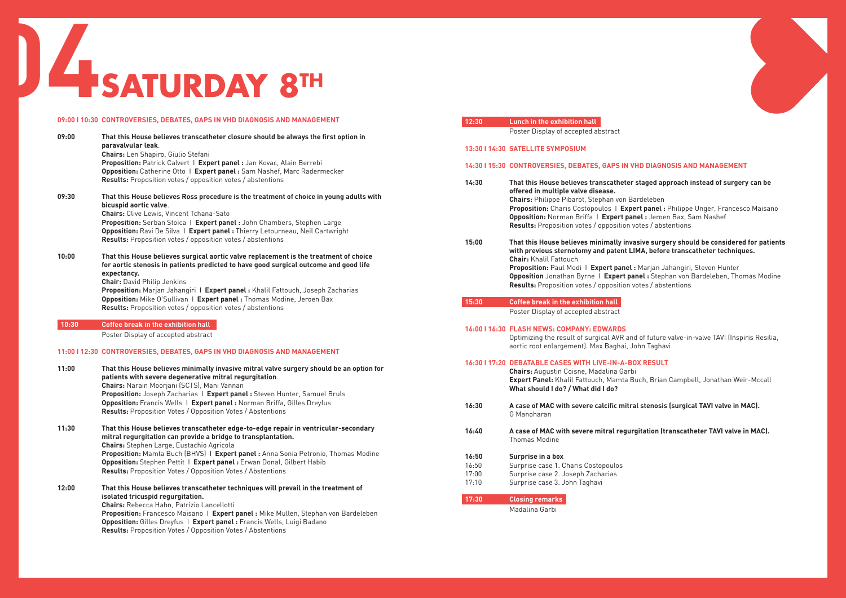eleben **panel**: Philippe Unger, Francesco Maisano **Opposition:** Norman Briffa I **Expert panel :** Jeroen Bax, Sam Nashef **Results:** Proposition votes / opposition votes / abstentions

#### **16:00 That is surgery should be considered for patients p** before transcatheter techniques.

|       | 09:00   10:30 CONTROVERSIES, DEBATES, GAPS IN VHD DIAGNOSIS AND MANAGEMENT<br>12:30                                                                 | Lunch in the exhibition hall                       |
|-------|-----------------------------------------------------------------------------------------------------------------------------------------------------|----------------------------------------------------|
|       |                                                                                                                                                     | Poster Display of accepted abstract                |
| 09:00 | That this House believes transcatheter closure should be always the first option in                                                                 |                                                    |
|       | paravalvular leak.<br><b>Chairs:</b> Len Shapiro, Giulio Stefani                                                                                    | 13:30   14:30 SATELLITE SYMPOSIUM                  |
|       | Proposition: Patrick Calvert   Expert panel : Jan Kovac, Alain Berrebi                                                                              |                                                    |
|       | Opposition: Catherine Otto   Expert panel: Sam Nashef, Marc Radermecker                                                                             | 14:30   15:30 CONTROVERSIES, DEBATES, GAPS IN VHD  |
|       | <b>Results:</b> Proposition votes / opposition votes / abstentions                                                                                  |                                                    |
|       | 14:30                                                                                                                                               | That this House believes transcatheter sta         |
| 09:30 | That this House believes Ross procedure is the treatment of choice in young adults with                                                             | offered in multiple valve disease.                 |
|       | bicuspid aortic valve.                                                                                                                              | Chairs: Philippe Pibarot, Stephan von Barde        |
|       | <b>Chairs:</b> Clive Lewis, Vincent Tchana-Sato                                                                                                     | Proposition: Charis Costopoulos   Expert           |
|       | Proposition: Serban Stoica   Expert panel : John Chambers, Stephen Large                                                                            | Opposition: Norman Briffa   Expert panel           |
|       | Opposition: Ravi De Silva   Expert panel : Thierry Letourneau, Neil Cartwright                                                                      | Results: Proposition votes / opposition vote       |
|       | <b>Results:</b> Proposition votes / opposition votes / abstentions<br>15:00                                                                         | That this House believes minimally invasiv         |
|       |                                                                                                                                                     | with previous sternotomy and patent LIMA           |
| 10:00 | That this House believes surgical aortic valve replacement is the treatment of choice                                                               | <b>Chair: Khalil Fattouch</b>                      |
|       | for aortic stenosis in patients predicted to have good surgical outcome and good life                                                               | Proposition: Paul Modi   Expert panel : Ma         |
|       | expectancy.                                                                                                                                         | Opposition Jonathan Byrne   Expert panel           |
|       | <b>Chair: David Philip Jenkins</b>                                                                                                                  | Results: Proposition votes / opposition vote       |
|       | Proposition: Marjan Jahangiri   Expert panel : Khalil Fattouch, Joseph Zacharias                                                                    |                                                    |
|       | Opposition: Mike O'Sullivan   Expert panel : Thomas Modine, Jeroen Bax<br>15:30                                                                     | <b>Coffee break in the exhibition hall</b>         |
|       | <b>Results:</b> Proposition votes / opposition votes / abstentions                                                                                  | Poster Display of accepted abstract                |
|       |                                                                                                                                                     |                                                    |
| 10:30 | <b>Coffee break in the exhibition hall</b>                                                                                                          | 16:00   16:30 FLASH NEWS: COMPANY: EDWARDS         |
|       | Poster Display of accepted abstract                                                                                                                 | Optimizing the result of surgical AVR and of       |
|       |                                                                                                                                                     | aortic root enlargement). Max Baghai, John         |
|       | 11:00   12:30 CONTROVERSIES, DEBATES, GAPS IN VHD DIAGNOSIS AND MANAGEMENT                                                                          |                                                    |
| 11:00 |                                                                                                                                                     | 16:30   17:20 DEBATABLE CASES WITH LIVE-IN-A-BOX F |
|       | That this House believes minimally invasive mitral valve surgery should be an option for<br>patients with severe degenerative mitral regurgitation. | <b>Chairs:</b> Augustin Coisne, Madalina Garbi     |
|       | Chairs: Narain Moorjani (SCTS), Mani Vannan                                                                                                         | Expert Panel: Khalil Fattouch, Mamta Buch          |
|       | Proposition: Joseph Zacharias   Expert panel: Steven Hunter, Samuel Bruls                                                                           | What should I do? / What did I do?                 |
|       | Opposition: Francis Wells   Expert panel : Norman Briffa, Gilles Dreyfus                                                                            |                                                    |
|       | 16:30<br><b>Results:</b> Proposition Votes / Opposition Votes / Abstentions                                                                         | A case of MAC with severe calcific mitral st       |
|       |                                                                                                                                                     | G Manoharan                                        |
| 11:30 | That this House believes transcatheter edge-to-edge repair in ventricular-secondary<br>16:40                                                        | A case of MAC with severe mitral regurgita         |
|       | mitral regurgitation can provide a bridge to transplantation.                                                                                       | <b>Thomas Modine</b>                               |
|       | <b>Chairs:</b> Stephen Large, Eustachio Agricola                                                                                                    |                                                    |
|       | Proposition: Mamta Buch (BHVS)   Expert panel : Anna Sonia Petronio, Thomas Modine<br>16:50                                                         | Surprise in a box                                  |
|       | Opposition: Stephen Pettit   Expert panel : Erwan Donal, Gilbert Habib<br>16:50                                                                     | Surprise case 1. Charis Costopoulos                |
|       | <b>Results:</b> Proposition Votes / Opposition Votes / Abstentions<br>17:00                                                                         | Surprise case 2. Joseph Zacharias                  |
|       | 17:10                                                                                                                                               | Surprise case 3. John Taghavi                      |
| 12:00 | That this House believes transcatheter techniques will prevail in the treatment of                                                                  |                                                    |
|       | isolated tricuspid regurgitation.<br>17:30                                                                                                          | <b>Closing remarks</b>                             |
|       | <b>Chairs:</b> Rebecca Hahn, Patrizio Lancellotti                                                                                                   | Madalina Garbi                                     |
|       | Proposition: Francesco Maisano   Expert panel : Mike Mullen, Stephan von Bardeleben                                                                 |                                                    |
|       | Opposition: Gilles Dreyfus   Expert panel : Francis Wells, Luigi Badano                                                                             |                                                    |
|       | <b>Results:</b> Proposition Votes / Opposition Votes / Abstentions                                                                                  |                                                    |
|       |                                                                                                                                                     |                                                    |

#### **DIAGNOSIS AND MANAGEMENT**

#### **14:30 That this House believes transcatheter staged approach instead of surgery can be**

**Proposition:** Paul Modi I **Expert panel :** Marjan Jahangiri, Steven Hunter **Opposition** Jonathan Byrne I **Expert panel :** Stephan von Bardeleben, Thomas Modine **Results:** Proposition votes / opposition votes / abstentions

future valve-in-valve TAVI (Inspiris Resilia, a Taghavi

#### **RESULT**

**Brian Campbell, Jonathan Weir-Mccall, Brian Campbell** 

tenosis (surgical TAVI valve in MAC).

**16:40 A case of MAC with severe mitral regurgitation (transcatheter TAVI valve in MAC).** 

# **04SATURDAY 8TH**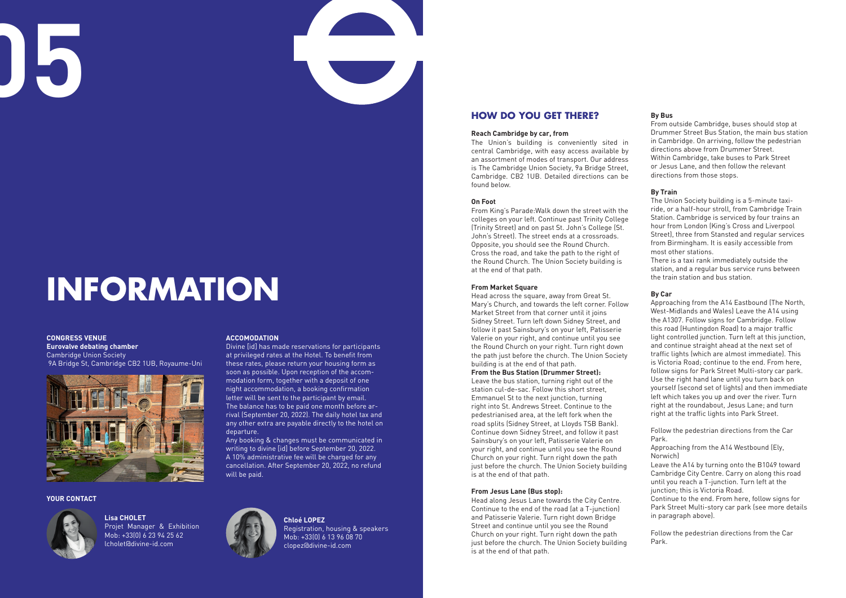**05**

## **INFORMATION**

**CONGRESS VENUE Eurovalve debating chamber** Cambridge Union Society 9A Bridge St, Cambridge CB2 1UB, Royaume-Uni



#### **ACCOMODATION**

Divine [id] has made reservations for participants at privileged rates at the Hotel. To benefit from these rates, please return your housing form as soon as possible. Upon reception of the accommodation form, together with a deposit of one night accommodation, a booking confirmation letter will be sent to the participant by email. The balance has to be paid one month before arrival (September 20, 2022). The daily hotel tax and any other extra are payable directly to the hotel on departure.

Any booking & changes must be communicated in writing to divine [id] before September 20, 2022. A 10% administrative fee will be charged for any cancellation. After September 20, 2022, no refund will be paid.



#### **HOW DO YOU GET THERE?**

#### **Reach Cambridge by car, from**

The Union's building is conveniently sited in central Cambridge, with easy access available by an assortment of modes of transport. Our address is The Cambridge Union Society, 9a Bridge Street, Cambridge. CB2 1UB. Detailed directions can be found below.

#### **On Foot**

From King's Parade:Walk down the street with the colleges on your left. Continue past Trinity College (Trinity Street) and on past St. John's College (St. John's Street). The street ends at a crossroads. Opposite, you should see the Round Church. Cross the road, and take the path to the right of the Round Church. The Union Society building is at the end of that path.

#### **From Market Square**

Head across the square, away from Great St. Mary's Church, and towards the left corner. Follow Market Street from that corner until it joins Sidney Street. Turn left down Sidney Street, and follow it past Sainsbury's on your left, Patisserie Valerie on your right, and continue until you see the Round Church on your right. Turn right down the path just before the church. The Union Society building is at the end of that path.

#### **From the Bus Station (Drummer Street):**

Leave the bus station, turning right out of the station cul-de-sac. Follow this short street, Emmanuel St to the next junction, turning right into St. Andrews Street. Continue to the pedestrianised area, at the left fork when the road splits (Sidney Street, at Lloyds TSB Bank). Continue down Sidney Street, and follow it past Sainsbury's on your left, Patisserie Valerie on your right, and continue until you see the Round Church on your right. Turn right down the path just before the church. The Union Society building is at the end of that path.

#### **From Jesus Lane (Bus stop):**

Head along Jesus Lane towards the City Centre. Continue to the end of the road (at a T-junction) and Patisserie Valerie. Turn right down Bridge Street and continue until you see the Round Church on your right. Turn right down the path just before the church. The Union Society building is at the end of that path.

#### **By Bus**

From outside Cambridge, buses should stop at Drummer Street Bus Station, the main bus station in Cambridge. On arriving, follow the pedestrian directions above from Drummer Street. Within Cambridge, take buses to Park Street or Jesus Lane, and then follow the relevant directions from those stops.

#### **By Train**

The Union Society building is a 5-minute taxiride, or a half-hour stroll, from Cambridge Train Station. Cambridge is serviced by four trains an hour from London (King's Cross and Liverpool Street), three from Stansted and regular services from Birmingham. It is easily accessible from most other stations.

There is a taxi rank immediately outside the station, and a regular bus service runs between the train station and bus station.

#### **By Car**

Approaching from the A14 Eastbound (The North, West-Midlands and Wales) Leave the A14 using the A1307. Follow signs for Cambridge. Follow this road (Huntingdon Road) to a major traffic light controlled junction. Turn left at this junction, and continue straight ahead at the next set of traffic lights (which are almost immediate). This is Victoria Road; continue to the end. From here, follow signs for Park Street Multi-story car park. Use the right hand lane until you turn back on yourself (second set of lights) and then immediate left which takes you up and over the river. Turn right at the roundabout, Jesus Lane; and turn right at the traffic lights into Park Street.

Follow the pedestrian directions from the Car Park.

Approaching from the A14 Westbound (Ely, Norwich)

Leave the A14 by turning onto the B1049 toward Cambridge City Centre. Carry on along this road until you reach a T-junction. Turn left at the junction; this is Victoria Road.

Continue to the end. From here, follow signs for Park Street Multi-story car park (see more details in paragraph above).

Follow the pedestrian directions from the Car Park.

**Chloé LOPEZ** Registration, housing & speakers Mob: +33(0) 6 13 96 08 70 clopez@divine-id.com

**Lisa CHOLET** Projet Manager & Exhibition Mob: +33(0) 6 23 94 25 62 lcholet@divine-id.com

#### **YOUR CONTACT**

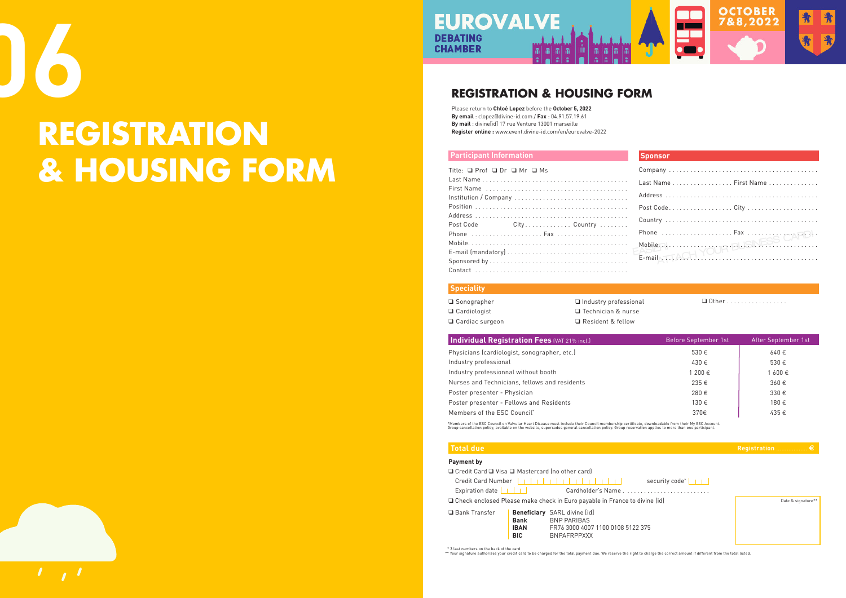#### **Participant Information**

| Title: $\Box$ Prof $\Box$ Dr $\Box$ Mr $\Box$ Ms |                                                                |  |
|--------------------------------------------------|----------------------------------------------------------------|--|
|                                                  |                                                                |  |
|                                                  |                                                                |  |
|                                                  |                                                                |  |
|                                                  |                                                                |  |
|                                                  |                                                                |  |
|                                                  |                                                                |  |
| Post Code                                        | $City \ldots \ldots \ldots \ldots$ . Country $\ldots \ldots$ . |  |
|                                                  |                                                                |  |
|                                                  |                                                                |  |
|                                                  |                                                                |  |
|                                                  |                                                                |  |

| Last Name First Name         |  |
|------------------------------|--|
|                              |  |
|                              |  |
|                              |  |
|                              |  |
|                              |  |
| Mobile Richmond BUSNESS CAND |  |

ssional

 $\Box$  Other . . . . . . . . . . . . . . . . .

#### **Q Credit Card Q Visa Q Mastercard (no other card) Payment by**

Physicians (cardiologist, sonographer, etc.) 530 **€** 640 **€**  $Industry$  professional Industry professionnal without booth  $N$ urses and Technicians, fellows and residents **Poster presenter - Physician Poster presenter - Fellows and Residents**  $M$ embers of the ESC Council<sup>\*</sup>

\*Members of the ESC Council on Valvular Heart Disease must include their Council membership certificate, downloadable from their My ESC Account.<br>Group cancellation policy, available on the website, supersedes general cance

|                 |                                                                             |                                     | security code <sup>*</sup> $\boxed{\phantom{a} \phantom{a} }$ |  |  |  |
|-----------------|-----------------------------------------------------------------------------|-------------------------------------|---------------------------------------------------------------|--|--|--|
|                 | □ Check enclosed Please make check in Euro payable in France to divine [id] |                                     |                                                               |  |  |  |
| □ Bank Transfer |                                                                             | <b>Beneficiary</b> SARL divine [id] |                                                               |  |  |  |
|                 | <b>Bank</b>                                                                 | BNP PARIBAS                         |                                                               |  |  |  |
|                 | <b>IBAN</b>                                                                 | FR76 3000 4007 1100 0108 5122 375   |                                                               |  |  |  |

 **Total due Registration** .................. **e**



Date & signature\*\*

| <b>Bank</b> | <b>BNP PARIBAS</b>            |
|-------------|-------------------------------|
| <b>IBAN</b> | ER76 3000 4007 1100 0108 5122 |
| <b>BIC</b>  | <b>BNPAFRPPXXX</b>            |

|  |  | ٠ |  |
|--|--|---|--|
|  |  |   |  |
|  |  |   |  |

| $\Box$ Sonographer  | $\Box$ Industry professiona |
|---------------------|-----------------------------|
| $\Box$ Cardiologist | □ Technician & nurse        |
| □ Cardiac surgeon   | Resident & fellow           |

#### **Individual Registration Fees (VAT 21% incl.)**

| Before September 1st | After September 1st |
|----------------------|---------------------|
| 530€                 | 640€                |
| 430€                 | 530€                |
| 1 200 €              | 1 600 €             |
| 235€                 | 360€                |
| 280€                 | 330€                |
| 130€                 | 180€                |
| 370€                 | 435€                |
|                      |                     |

\* 3 last numbers on the back of the card

\*\* Your signature authorizes your credit card to be charged for the total payment due. We reserve the right to charge the correct amount if different from the total listed.

 $\mathbf{1}$   $\mathbf{1}$ 

#### **Sponsor**

#### **REGISTRATION & HOUSING FORM**

Please return to **Chloé Lopez** before the **October 5, 2022 By email** : clopez@divine-id.com / **Fax** : 04.91.57.19.61 **By mail** : divine[id] 17 rue Venture 13001 marseille **Register online :** www.event.divine-id.com/en/eurovalve-2022

# **06**

## **REGISTRATION & HOUSING FORM**